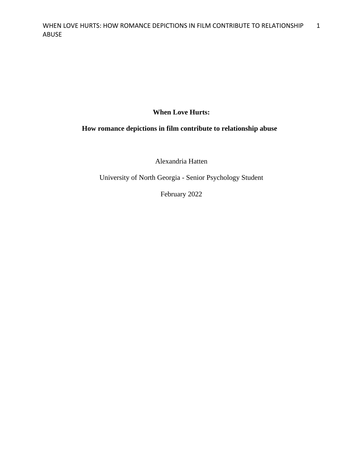# **When Love Hurts:**

# **How romance depictions in film contribute to relationship abuse**

Alexandria Hatten

University of North Georgia - Senior Psychology Student

February 2022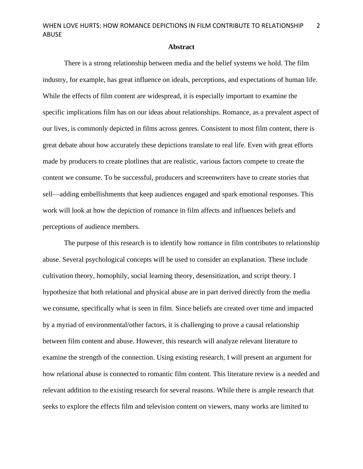### **Abstract**

There is a strong relationship between media and the belief systems we hold. The film industry, for example, has great influence on ideals, perceptions, and expectations of human life. While the effects of film content are widespread, it is especially important to examine the specific implications film has on our ideas about relationships. Romance, as a prevalent aspect of our lives, is commonly depicted in films across genres. Consistent to most film content, there is great debate about how accurately these depictions translate to real life. Even with great efforts made by producers to create plotlines that are realistic, various factors compete to create the content we consume. To be successful, producers and screenwriters have to create stories that sell—adding embellishments that keep audiences engaged and spark emotional responses. This work will look at how the depiction of romance in film affects and influences beliefs and perceptions of audience members.

The purpose of this research is to identify how romance in film contributes to relationship abuse. Several psychological concepts will be used to consider an explanation. These include cultivation theory, homophily, social learning theory, desensitization, and script theory. I hypothesize that both relational and physical abuse are in part derived directly from the media we consume, specifically what is seen in film. Since beliefs are created over time and impacted by a myriad of environmental/other factors, it is challenging to prove a causal relationship between film content and abuse. However, this research will analyze relevant literature to examine the strength of the connection. Using existing research, I will present an argument for how relational abuse is connected to romantic film content. This literature review is a needed and relevant addition to the existing research for several reasons. While there is ample research that seeks to explore the effects film and television content on viewers, many works are limited to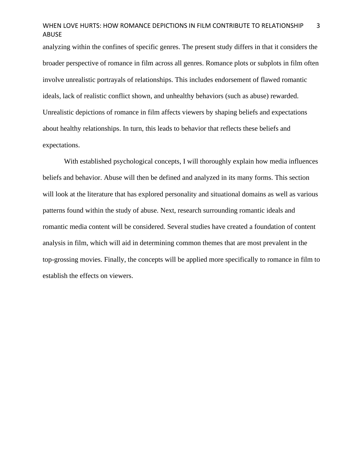analyzing within the confines of specific genres. The present study differs in that it considers the broader perspective of romance in film across all genres. Romance plots or subplots in film often involve unrealistic portrayals of relationships. This includes endorsement of flawed romantic ideals, lack of realistic conflict shown, and unhealthy behaviors (such as abuse) rewarded. Unrealistic depictions of romance in film affects viewers by shaping beliefs and expectations about healthy relationships. In turn, this leads to behavior that reflects these beliefs and expectations.

With established psychological concepts, I will thoroughly explain how media influences beliefs and behavior. Abuse will then be defined and analyzed in its many forms. This section will look at the literature that has explored personality and situational domains as well as various patterns found within the study of abuse. Next, research surrounding romantic ideals and romantic media content will be considered. Several studies have created a foundation of content analysis in film, which will aid in determining common themes that are most prevalent in the top-grossing movies. Finally, the concepts will be applied more specifically to romance in film to establish the effects on viewers.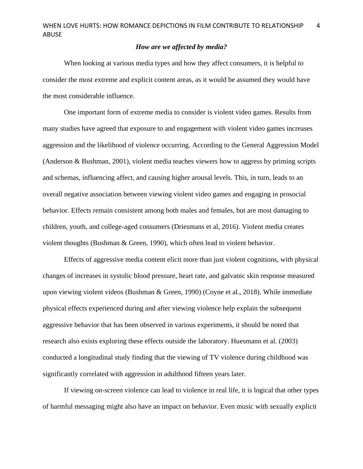# *How are we affected by media?*

When looking at various media types and how they affect consumers, it is helpful to consider the most extreme and explicit content areas, as it would be assumed they would have the most considerable influence.

One important form of extreme media to consider is violent video games. Results from many studies have agreed that exposure to and engagement with violent video games increases aggression and the likelihood of violence occurring. According to the General Aggression Model (Anderson & Bushman, 2001), violent media teaches viewers how to aggress by priming scripts and schemas, influencing affect, and causing higher arousal levels. This, in turn, leads to an overall negative association between viewing violent video games and engaging in prosocial behavior. Effects remain consistent among both males and females, but are most damaging to children, youth, and college-aged consumers (Driesmans et al, 2016). Violent media creates violent thoughts (Bushman & Green, 1990), which often lead to violent behavior.

Effects of aggressive media content elicit more than just violent cognitions, with physical changes of increases in systolic blood pressure, heart rate, and galvanic skin response measured upon viewing violent videos (Bushman & Green, 1990) (Coyne et al., 2018). While immediate physical effects experienced during and after viewing violence help explain the subsequent aggressive behavior that has been observed in various experiments, it should be noted that research also exists exploring these effects outside the laboratory. Huesmann et al. (2003) conducted a longitudinal study finding that the viewing of TV violence during childhood was significantly correlated with aggression in adulthood fifteen years later.

If viewing on-screen violence can lead to violence in real life, it is logical that other types of harmful messaging might also have an impact on behavior. Even music with sexually explicit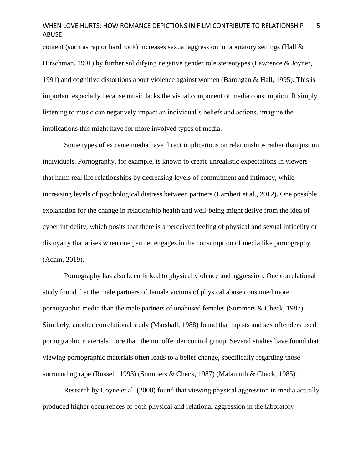content (such as rap or hard rock) increases sexual aggression in laboratory settings (Hall  $\&$ Hirschman, 1991) by further solidifying negative gender role stereotypes (Lawrence & Joyner, 1991) and cognitive distortions about violence against women (Barongan & Hall, 1995). This is important especially because music lacks the visual component of media consumption. If simply listening to music can negatively impact an individual's beliefs and actions, imagine the implications this might have for more involved types of media.

Some types of extreme media have direct implications on relationships rather than just on individuals. Pornography, for example, is known to create unrealistic expectations in viewers that harm real life relationships by decreasing levels of commitment and intimacy, while increasing levels of psychological distress between partners (Lambert et al., 2012). One possible explanation for the change in relationship health and well-being might derive from the idea of cyber infidelity, which posits that there is a perceived feeling of physical and sexual infidelity or disloyalty that arises when one partner engages in the consumption of media like pornography (Adam, 2019).

Pornography has also been linked to physical violence and aggression. One correlational study found that the male partners of female victims of physical abuse consumed more pornographic media than the male partners of unabused females (Sommers & Check, 1987). Similarly, another correlational study (Marshall, 1988) found that rapists and sex offenders used pornographic materials more than the nonoffender control group. Several studies have found that viewing pornographic materials often leads to a belief change, specifically regarding those surrounding rape (Russell, 1993) (Sommers & Check, 1987) (Malamuth & Check, 1985).

Research by Coyne et al. (2008) found that viewing physical aggression in media actually produced higher occurrences of both physical and relational aggression in the laboratory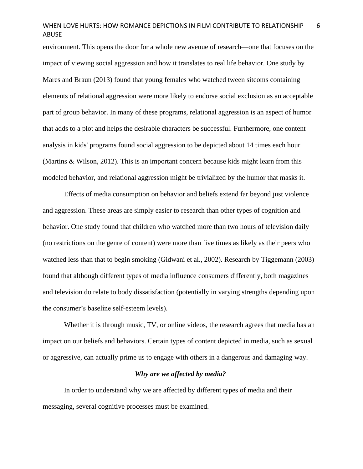environment. This opens the door for a whole new avenue of research—one that focuses on the impact of viewing social aggression and how it translates to real life behavior. One study by Mares and Braun (2013) found that young females who watched tween sitcoms containing elements of relational aggression were more likely to endorse social exclusion as an acceptable part of group behavior. In many of these programs, relational aggression is an aspect of humor that adds to a plot and helps the desirable characters be successful. Furthermore, one content analysis in kids' programs found social aggression to be depicted about 14 times each hour (Martins & Wilson, 2012). This is an important concern because kids might learn from this modeled behavior, and relational aggression might be trivialized by the humor that masks it.

Effects of media consumption on behavior and beliefs extend far beyond just violence and aggression. These areas are simply easier to research than other types of cognition and behavior. One study found that children who watched more than two hours of television daily (no restrictions on the genre of content) were more than five times as likely as their peers who watched less than that to begin smoking (Gidwani et al., 2002). Research by Tiggemann (2003) found that although different types of media influence consumers differently, both magazines and television do relate to body dissatisfaction (potentially in varying strengths depending upon the consumer's baseline self-esteem levels).

Whether it is through music, TV, or online videos, the research agrees that media has an impact on our beliefs and behaviors. Certain types of content depicted in media, such as sexual or aggressive, can actually prime us to engage with others in a dangerous and damaging way.

### *Why are we affected by media?*

In order to understand why we are affected by different types of media and their messaging, several cognitive processes must be examined.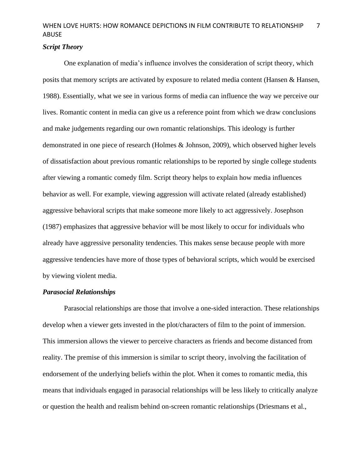# *Script Theory*

One explanation of media's influence involves the consideration of script theory, which posits that memory scripts are activated by exposure to related media content (Hansen & Hansen, 1988). Essentially, what we see in various forms of media can influence the way we perceive our lives. Romantic content in media can give us a reference point from which we draw conclusions and make judgements regarding our own romantic relationships. This ideology is further demonstrated in one piece of research (Holmes & Johnson, 2009), which observed higher levels of dissatisfaction about previous romantic relationships to be reported by single college students after viewing a romantic comedy film. Script theory helps to explain how media influences behavior as well. For example, viewing aggression will activate related (already established) aggressive behavioral scripts that make someone more likely to act aggressively. Josephson (1987) emphasizes that aggressive behavior will be most likely to occur for individuals who already have aggressive personality tendencies. This makes sense because people with more aggressive tendencies have more of those types of behavioral scripts, which would be exercised by viewing violent media.

## *Parasocial Relationships*

Parasocial relationships are those that involve a one-sided interaction. These relationships develop when a viewer gets invested in the plot/characters of film to the point of immersion. This immersion allows the viewer to perceive characters as friends and become distanced from reality. The premise of this immersion is similar to script theory, involving the facilitation of endorsement of the underlying beliefs within the plot. When it comes to romantic media, this means that individuals engaged in parasocial relationships will be less likely to critically analyze or question the health and realism behind on-screen romantic relationships (Driesmans et al.,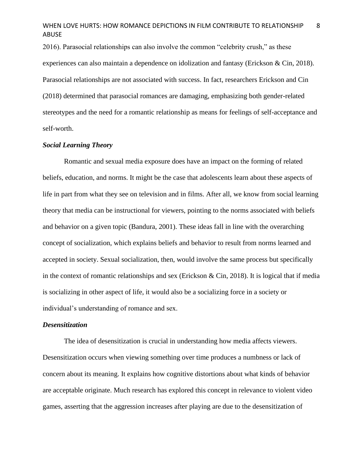2016). Parasocial relationships can also involve the common "celebrity crush," as these experiences can also maintain a dependence on idolization and fantasy (Erickson & Cin, 2018). Parasocial relationships are not associated with success. In fact, researchers Erickson and Cin (2018) determined that parasocial romances are damaging, emphasizing both gender-related stereotypes and the need for a romantic relationship as means for feelings of self-acceptance and self-worth.

### *Social Learning Theory*

Romantic and sexual media exposure does have an impact on the forming of related beliefs, education, and norms. It might be the case that adolescents learn about these aspects of life in part from what they see on television and in films. After all, we know from social learning theory that media can be instructional for viewers, pointing to the norms associated with beliefs and behavior on a given topic (Bandura, 2001). These ideas fall in line with the overarching concept of socialization, which explains beliefs and behavior to result from norms learned and accepted in society. Sexual socialization, then, would involve the same process but specifically in the context of romantic relationships and sex (Erickson & Cin, 2018). It is logical that if media is socializing in other aspect of life, it would also be a socializing force in a society or individual's understanding of romance and sex.

### *Desensitization*

The idea of desensitization is crucial in understanding how media affects viewers. Desensitization occurs when viewing something over time produces a numbness or lack of concern about its meaning. It explains how cognitive distortions about what kinds of behavior are acceptable originate. Much research has explored this concept in relevance to violent video games, asserting that the aggression increases after playing are due to the desensitization of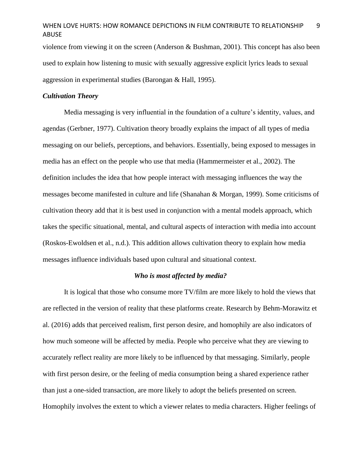violence from viewing it on the screen (Anderson & Bushman, 2001). This concept has also been used to explain how listening to music with sexually aggressive explicit lyrics leads to sexual aggression in experimental studies (Barongan & Hall, 1995).

### *Cultivation Theory*

Media messaging is very influential in the foundation of a culture's identity, values, and agendas (Gerbner, 1977). Cultivation theory broadly explains the impact of all types of media messaging on our beliefs, perceptions, and behaviors. Essentially, being exposed to messages in media has an effect on the people who use that media (Hammermeister et al., 2002). The definition includes the idea that how people interact with messaging influences the way the messages become manifested in culture and life (Shanahan & Morgan, 1999). Some criticisms of cultivation theory add that it is best used in conjunction with a mental models approach, which takes the specific situational, mental, and cultural aspects of interaction with media into account (Roskos-Ewoldsen et al., n.d.). This addition allows cultivation theory to explain how media messages influence individuals based upon cultural and situational context.

### *Who is most affected by media?*

It is logical that those who consume more TV/film are more likely to hold the views that are reflected in the version of reality that these platforms create. Research by Behm-Morawitz et al. (2016) adds that perceived realism, first person desire, and homophily are also indicators of how much someone will be affected by media. People who perceive what they are viewing to accurately reflect reality are more likely to be influenced by that messaging. Similarly, people with first person desire, or the feeling of media consumption being a shared experience rather than just a one-sided transaction, are more likely to adopt the beliefs presented on screen. Homophily involves the extent to which a viewer relates to media characters. Higher feelings of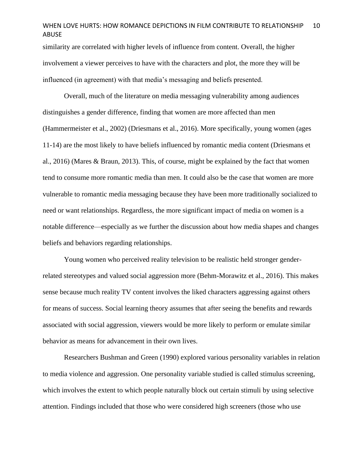similarity are correlated with higher levels of influence from content. Overall, the higher involvement a viewer perceives to have with the characters and plot, the more they will be influenced (in agreement) with that media's messaging and beliefs presented.

Overall, much of the literature on media messaging vulnerability among audiences distinguishes a gender difference, finding that women are more affected than men (Hammermeister et al., 2002) (Driesmans et al., 2016). More specifically, young women (ages 11-14) are the most likely to have beliefs influenced by romantic media content (Driesmans et al., 2016) (Mares & Braun, 2013). This, of course, might be explained by the fact that women tend to consume more romantic media than men. It could also be the case that women are more vulnerable to romantic media messaging because they have been more traditionally socialized to need or want relationships. Regardless, the more significant impact of media on women is a notable difference—especially as we further the discussion about how media shapes and changes beliefs and behaviors regarding relationships.

Young women who perceived reality television to be realistic held stronger genderrelated stereotypes and valued social aggression more (Behm-Morawitz et al., 2016). This makes sense because much reality TV content involves the liked characters aggressing against others for means of success. Social learning theory assumes that after seeing the benefits and rewards associated with social aggression, viewers would be more likely to perform or emulate similar behavior as means for advancement in their own lives.

Researchers Bushman and Green (1990) explored various personality variables in relation to media violence and aggression. One personality variable studied is called stimulus screening, which involves the extent to which people naturally block out certain stimuli by using selective attention. Findings included that those who were considered high screeners (those who use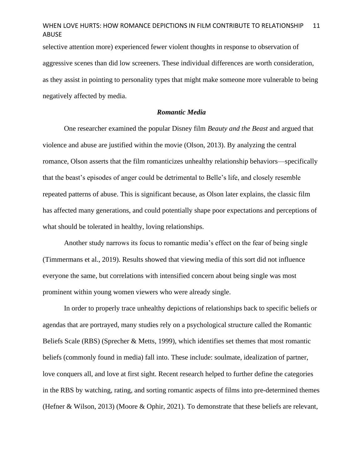selective attention more) experienced fewer violent thoughts in response to observation of aggressive scenes than did low screeners. These individual differences are worth consideration, as they assist in pointing to personality types that might make someone more vulnerable to being negatively affected by media.

### *Romantic Media*

One researcher examined the popular Disney film *Beauty and the Beast* and argued that violence and abuse are justified within the movie (Olson, 2013). By analyzing the central romance, Olson asserts that the film romanticizes unhealthy relationship behaviors—specifically that the beast's episodes of anger could be detrimental to Belle's life, and closely resemble repeated patterns of abuse. This is significant because, as Olson later explains, the classic film has affected many generations, and could potentially shape poor expectations and perceptions of what should be tolerated in healthy, loving relationships.

Another study narrows its focus to romantic media's effect on the fear of being single (Timmermans et al., 2019). Results showed that viewing media of this sort did not influence everyone the same, but correlations with intensified concern about being single was most prominent within young women viewers who were already single.

In order to properly trace unhealthy depictions of relationships back to specific beliefs or agendas that are portrayed, many studies rely on a psychological structure called the Romantic Beliefs Scale (RBS) (Sprecher & Metts, 1999), which identifies set themes that most romantic beliefs (commonly found in media) fall into. These include: soulmate, idealization of partner, love conquers all, and love at first sight. Recent research helped to further define the categories in the RBS by watching, rating, and sorting romantic aspects of films into pre-determined themes (Hefner & Wilson, 2013) (Moore & Ophir, 2021). To demonstrate that these beliefs are relevant,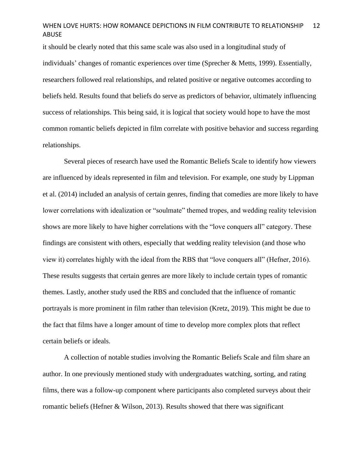it should be clearly noted that this same scale was also used in a longitudinal study of individuals' changes of romantic experiences over time (Sprecher & Metts, 1999). Essentially, researchers followed real relationships, and related positive or negative outcomes according to beliefs held. Results found that beliefs do serve as predictors of behavior, ultimately influencing success of relationships. This being said, it is logical that society would hope to have the most common romantic beliefs depicted in film correlate with positive behavior and success regarding relationships.

Several pieces of research have used the Romantic Beliefs Scale to identify how viewers are influenced by ideals represented in film and television. For example, one study by Lippman et al. (2014) included an analysis of certain genres, finding that comedies are more likely to have lower correlations with idealization or "soulmate" themed tropes, and wedding reality television shows are more likely to have higher correlations with the "love conquers all" category. These findings are consistent with others, especially that wedding reality television (and those who view it) correlates highly with the ideal from the RBS that "love conquers all" (Hefner, 2016). These results suggests that certain genres are more likely to include certain types of romantic themes. Lastly, another study used the RBS and concluded that the influence of romantic portrayals is more prominent in film rather than television (Kretz, 2019). This might be due to the fact that films have a longer amount of time to develop more complex plots that reflect certain beliefs or ideals.

A collection of notable studies involving the Romantic Beliefs Scale and film share an author. In one previously mentioned study with undergraduates watching, sorting, and rating films, there was a follow-up component where participants also completed surveys about their romantic beliefs (Hefner & Wilson, 2013). Results showed that there was significant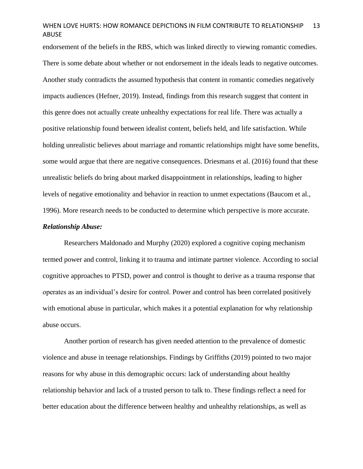endorsement of the beliefs in the RBS, which was linked directly to viewing romantic comedies. There is some debate about whether or not endorsement in the ideals leads to negative outcomes. Another study contradicts the assumed hypothesis that content in romantic comedies negatively impacts audiences (Hefner, 2019). Instead, findings from this research suggest that content in this genre does not actually create unhealthy expectations for real life. There was actually a positive relationship found between idealist content, beliefs held, and life satisfaction. While holding unrealistic believes about marriage and romantic relationships might have some benefits, some would argue that there are negative consequences. Driesmans et al. (2016) found that these unrealistic beliefs do bring about marked disappointment in relationships, leading to higher levels of negative emotionality and behavior in reaction to unmet expectations (Baucom et al., 1996). More research needs to be conducted to determine which perspective is more accurate.

## *Relationship Abuse:*

Researchers Maldonado and Murphy (2020) explored a cognitive coping mechanism termed power and control, linking it to trauma and intimate partner violence. According to social cognitive approaches to PTSD, power and control is thought to derive as a trauma response that operates as an individual's desire for control. Power and control has been correlated positively with emotional abuse in particular, which makes it a potential explanation for why relationship abuse occurs.

Another portion of research has given needed attention to the prevalence of domestic violence and abuse in teenage relationships. Findings by Griffiths (2019) pointed to two major reasons for why abuse in this demographic occurs: lack of understanding about healthy relationship behavior and lack of a trusted person to talk to. These findings reflect a need for better education about the difference between healthy and unhealthy relationships, as well as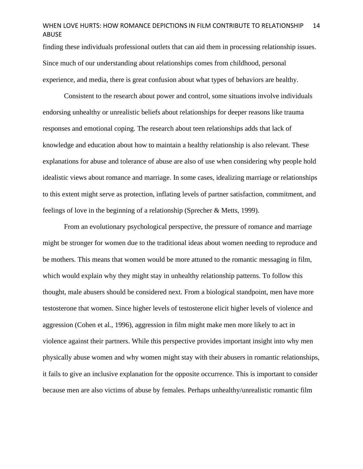finding these individuals professional outlets that can aid them in processing relationship issues. Since much of our understanding about relationships comes from childhood, personal experience, and media, there is great confusion about what types of behaviors are healthy.

Consistent to the research about power and control, some situations involve individuals endorsing unhealthy or unrealistic beliefs about relationships for deeper reasons like trauma responses and emotional coping. The research about teen relationships adds that lack of knowledge and education about how to maintain a healthy relationship is also relevant. These explanations for abuse and tolerance of abuse are also of use when considering why people hold idealistic views about romance and marriage. In some cases, idealizing marriage or relationships to this extent might serve as protection, inflating levels of partner satisfaction, commitment, and feelings of love in the beginning of a relationship (Sprecher & Metts, 1999).

From an evolutionary psychological perspective, the pressure of romance and marriage might be stronger for women due to the traditional ideas about women needing to reproduce and be mothers. This means that women would be more attuned to the romantic messaging in film, which would explain why they might stay in unhealthy relationship patterns. To follow this thought, male abusers should be considered next. From a biological standpoint, men have more testosterone that women. Since higher levels of testosterone elicit higher levels of violence and aggression (Cohen et al., 1996), aggression in film might make men more likely to act in violence against their partners. While this perspective provides important insight into why men physically abuse women and why women might stay with their abusers in romantic relationships, it fails to give an inclusive explanation for the opposite occurrence. This is important to consider because men are also victims of abuse by females. Perhaps unhealthy/unrealistic romantic film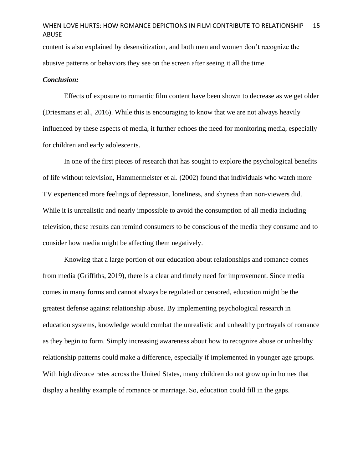content is also explained by desensitization, and both men and women don't recognize the abusive patterns or behaviors they see on the screen after seeing it all the time.

### *Conclusion:*

Effects of exposure to romantic film content have been shown to decrease as we get older (Driesmans et al., 2016). While this is encouraging to know that we are not always heavily influenced by these aspects of media, it further echoes the need for monitoring media, especially for children and early adolescents.

In one of the first pieces of research that has sought to explore the psychological benefits of life without television, Hammermeister et al. (2002) found that individuals who watch more TV experienced more feelings of depression, loneliness, and shyness than non-viewers did. While it is unrealistic and nearly impossible to avoid the consumption of all media including television, these results can remind consumers to be conscious of the media they consume and to consider how media might be affecting them negatively.

Knowing that a large portion of our education about relationships and romance comes from media (Griffiths, 2019), there is a clear and timely need for improvement. Since media comes in many forms and cannot always be regulated or censored, education might be the greatest defense against relationship abuse. By implementing psychological research in education systems, knowledge would combat the unrealistic and unhealthy portrayals of romance as they begin to form. Simply increasing awareness about how to recognize abuse or unhealthy relationship patterns could make a difference, especially if implemented in younger age groups. With high divorce rates across the United States, many children do not grow up in homes that display a healthy example of romance or marriage. So, education could fill in the gaps.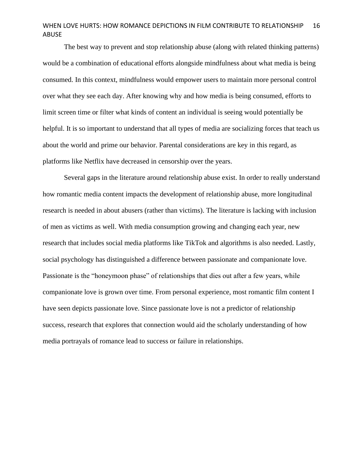The best way to prevent and stop relationship abuse (along with related thinking patterns) would be a combination of educational efforts alongside mindfulness about what media is being consumed. In this context, mindfulness would empower users to maintain more personal control over what they see each day. After knowing why and how media is being consumed, efforts to limit screen time or filter what kinds of content an individual is seeing would potentially be helpful. It is so important to understand that all types of media are socializing forces that teach us about the world and prime our behavior. Parental considerations are key in this regard, as platforms like Netflix have decreased in censorship over the years.

Several gaps in the literature around relationship abuse exist. In order to really understand how romantic media content impacts the development of relationship abuse, more longitudinal research is needed in about abusers (rather than victims). The literature is lacking with inclusion of men as victims as well. With media consumption growing and changing each year, new research that includes social media platforms like TikTok and algorithms is also needed. Lastly, social psychology has distinguished a difference between passionate and companionate love. Passionate is the "honeymoon phase" of relationships that dies out after a few years, while companionate love is grown over time. From personal experience, most romantic film content I have seen depicts passionate love. Since passionate love is not a predictor of relationship success, research that explores that connection would aid the scholarly understanding of how media portrayals of romance lead to success or failure in relationships.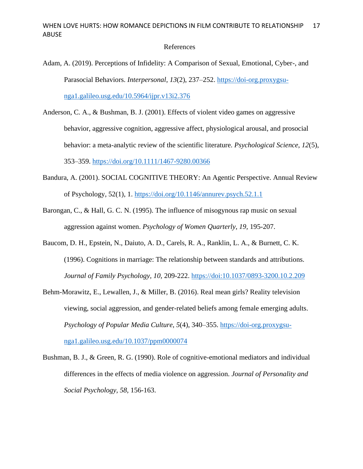### References

- Adam, A. (2019). Perceptions of Infidelity: A Comparison of Sexual, Emotional, Cyber-, and Parasocial Behaviors. *Interpersonal*, 13(2), 237-252. [https://doi-org.proxygsu](https://doi-org.proxygsu-nga1.galileo.usg.edu/10.5964/ijpr.v13i2.376)[nga1.galileo.usg.edu/10.5964/ijpr.v13i2.376](https://doi-org.proxygsu-nga1.galileo.usg.edu/10.5964/ijpr.v13i2.376)
- Anderson, C. A., & Bushman, B. J. (2001). Effects of violent video games on aggressive behavior, aggressive cognition, aggressive affect, physiological arousal, and prosocial behavior: a meta-analytic review of the scientific literature. *Psychological Science*, *12*(5), 353–359.<https://doi.org/10.1111/1467-9280.00366>
- Bandura, A. (2001). SOCIAL COGNITIVE THEORY: An Agentic Perspective. Annual Review of Psychology, 52(1), 1.<https://doi.org/10.1146/annurev.psych.52.1.1>
- Barongan, C., & Hall, G. C. N. (1995). The influence of misogynous rap music on sexual aggression against women. *Psychology of Women Quarterly, 19,* 195-207.
- Baucom, D. H., Epstein, N., Daiuto, A. D., Carels, R. A., Ranklin, L. A., & Burnett, C. K. (1996). Cognitions in marriage: The relationship between standards and attributions. *Journal of Family Psychology, 10,* 209-222. https://doi:10.1037/0893-3200.10.2.209
- Behm-Morawitz, E., Lewallen, J., & Miller, B. (2016). Real mean girls? Reality television viewing, social aggression, and gender-related beliefs among female emerging adults. *Psychology of Popular Media Culture*, *5*(4), 340–355. [https://doi-org.proxygsu](https://doi-org.proxygsu-nga1.galileo.usg.edu/10.1037/ppm0000074)[nga1.galileo.usg.edu/10.1037/ppm0000074](https://doi-org.proxygsu-nga1.galileo.usg.edu/10.1037/ppm0000074)
- Bushman, B. J., & Green, R. G. (1990). Role of cognitive-emotional mediators and individual differences in the effects of media violence on aggression. *Journal of Personality and Social Psychology, 58,* 156-163.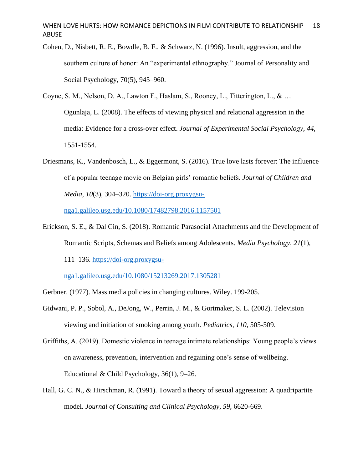- Cohen, D., Nisbett, R. E., Bowdle, B. F., & Schwarz, N. (1996). Insult, aggression, and the southern culture of honor: An "experimental ethnography." Journal of Personality and Social Psychology, 70(5), 945–960.
- Coyne, S. M., Nelson, D. A., Lawton F., Haslam, S., Rooney, L., Titterington, L., & … Ogunlaja, L. (2008). The effects of viewing physical and relational aggression in the media: Evidence for a cross-over effect. *Journal of Experimental Social Psychology, 44,*  1551-1554.
- Driesmans, K., Vandenbosch, L., & Eggermont, S. (2016). True love lasts forever: The influence of a popular teenage movie on Belgian girls' romantic beliefs. *Journal of Children and Media*, *10*(3), 304–320. [https://doi-org.proxygsu-](https://doi-org.proxygsu-nga1.galileo.usg.edu/10.1080/17482798.2016.1157501)

[nga1.galileo.usg.edu/10.1080/17482798.2016.1157501](https://doi-org.proxygsu-nga1.galileo.usg.edu/10.1080/17482798.2016.1157501)

Erickson, S. E., & Dal Cin, S. (2018). Romantic Parasocial Attachments and the Development of Romantic Scripts, Schemas and Beliefs among Adolescents. *Media Psychology*, *21*(1),

111–136. [https://doi-org.proxygsu-](https://doi-org.proxygsu-nga1.galileo.usg.edu/10.1080/15213269.2017.1305281)

[nga1.galileo.usg.edu/10.1080/15213269.2017.1305281](https://doi-org.proxygsu-nga1.galileo.usg.edu/10.1080/15213269.2017.1305281)

- Gerbner. (1977). Mass media policies in changing cultures. Wiley. 199-205.
- Gidwani, P. P., Sobol, A., DeJong, W., Perrin, J. M., & Gortmaker, S. L. (2002). Television viewing and initiation of smoking among youth. *Pediatrics, 110,* 505-509.
- Griffiths, A. (2019). Domestic violence in teenage intimate relationships: Young people's views on awareness, prevention, intervention and regaining one's sense of wellbeing. Educational & Child Psychology, 36(1), 9–26.
- Hall, G. C. N., & Hirschman, R. (1991). Toward a theory of sexual aggression: A quadripartite model. *Journal of Consulting and Clinical Psychology, 59,* 6620-669.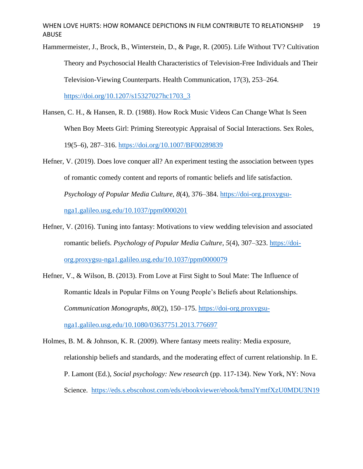Hammermeister, J., Brock, B., Winterstein, D., & Page, R. (2005). Life Without TV? Cultivation Theory and Psychosocial Health Characteristics of Television-Free Individuals and Their Television-Viewing Counterparts. Health Communication, 17(3), 253–264. [https://doi.org/10.1207/s15327027hc1703\\_3](https://doi.org/10.1207/s15327027hc1703_3)

- Hansen, C. H., & Hansen, R. D. (1988). How Rock Music Videos Can Change What Is Seen When Boy Meets Girl: Priming Stereotypic Appraisal of Social Interactions. Sex Roles, 19(5–6), 287–316.<https://doi.org/10.1007/BF00289839>
- Hefner, V. (2019). Does love conquer all? An experiment testing the association between types of romantic comedy content and reports of romantic beliefs and life satisfaction. *Psychology of Popular Media Culture*, *8*(4), 376–384. [https://doi-org.proxygsu](https://doi-org.proxygsu-nga1.galileo.usg.edu/10.1037/ppm0000201)[nga1.galileo.usg.edu/10.1037/ppm0000201](https://doi-org.proxygsu-nga1.galileo.usg.edu/10.1037/ppm0000201)
- Hefner, V. (2016). Tuning into fantasy: Motivations to view wedding television and associated romantic beliefs. *Psychology of Popular Media Culture*, *5*(4), 307–323. [https://doi](https://doi-org.proxygsu-nga1.galileo.usg.edu/10.1037/ppm0000079)[org.proxygsu-nga1.galileo.usg.edu/10.1037/ppm0000079](https://doi-org.proxygsu-nga1.galileo.usg.edu/10.1037/ppm0000079)
- Hefner, V., & Wilson, B. (2013). From Love at First Sight to Soul Mate: The Influence of Romantic Ideals in Popular Films on Young People's Beliefs about Relationships. *Communication Monographs*, *80*(2), 150–175. [https://doi-org.proxygsu](https://doi-org.proxygsu-nga1.galileo.usg.edu/10.1080/03637751.2013.776697)[nga1.galileo.usg.edu/10.1080/03637751.2013.776697](https://doi-org.proxygsu-nga1.galileo.usg.edu/10.1080/03637751.2013.776697)
- Holmes, B. M. & Johnson, K. R. (2009). Where fantasy meets reality: Media exposure, relationship beliefs and standards, and the moderating effect of current relationship. In E. P. Lamont (Ed.), *Social psychology: New research* (pp. 117-134). New York, NY: Nova Science. [https://eds.s.ebscohost.com/eds/ebookviewer/ebook/bmxlYmtfXzU0MDU3N19](https://eds.s.ebscohost.com/eds/ebookviewer/ebook/bmxlYmtfXzU0MDU3N19fQU41?sid=8f3bf842-d33d-4832-93ca-85a120ee5174@redis&vid=0&format=EB&rid=1)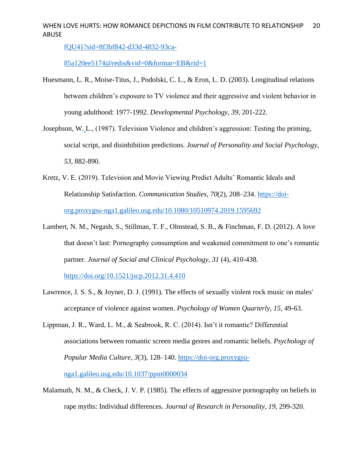[fQU41?sid=8f3bf842-d33d-4832-93ca-](https://eds.s.ebscohost.com/eds/ebookviewer/ebook/bmxlYmtfXzU0MDU3N19fQU41?sid=8f3bf842-d33d-4832-93ca-85a120ee5174@redis&vid=0&format=EB&rid=1)

[85a120ee5174@redis&vid=0&format=EB&rid=1](https://eds.s.ebscohost.com/eds/ebookviewer/ebook/bmxlYmtfXzU0MDU3N19fQU41?sid=8f3bf842-d33d-4832-93ca-85a120ee5174@redis&vid=0&format=EB&rid=1)

- Huesmann, L. R., Moise-Titus, J., Podolski, C. L., & Eron, L. D. (2003). Longitudinal relations between children's exposure to TV violence and their aggressive and violent behavior in young adulthood: 1977-1992. *Developmental Psychology, 39,* 201-222.
- Josephson, W. L., (1987). Television Violence and children's aggression: Testing the priming, social script, and disinhibition predictions. *Journal of Personality and Social Psychology, 53,* 882-890.
- Kretz, V. E. (2019). Television and Movie Viewing Predict Adults' Romantic Ideals and Relationship Satisfaction. *Communication Studies*, *70*(2), 208–234. [https://doi](https://doi-org.proxygsu-nga1.galileo.usg.edu/10.1080/10510974.2019.1595692)[org.proxygsu-nga1.galileo.usg.edu/10.1080/10510974.2019.1595692](https://doi-org.proxygsu-nga1.galileo.usg.edu/10.1080/10510974.2019.1595692)
- Lambert, N. M., Negash, S., Stillman, T. F., Olmstead, S. B., & Finchman, F. D. (2012). A love that doesn't last: Pornography consumption and weakened commitment to one's romantic partner. *Journal of Social and Clinical Psychology, 31* (4), 410-438.

<https://doi.org/10.1521/jscp.2012.31.4.410>

- Lawrence, J. S. S., & Joyner, D. J. (1991). The effects of sexually violent rock music on males' acceptance of violence against women. *Psychology of Women Quarterly, 15,* 49-63.
- Lippman, J. R., Ward, L. M., & Seabrook, R. C. (2014). Isn't it romantic? Differential associations between romantic screen media genres and romantic beliefs. *Psychology of Popular Media Culture*, *3*(3), 128–140. [https://doi-org.proxygsu](https://doi-org.proxygsu-nga1.galileo.usg.edu/10.1037/ppm0000034)[nga1.galileo.usg.edu/10.1037/ppm0000034](https://doi-org.proxygsu-nga1.galileo.usg.edu/10.1037/ppm0000034)
- Malamuth, N. M., & Check, J. V. P. (1985). The effects of aggressive pornography on beliefs in rape myths: Individual differences. *Journal of Research in Personality, 19,* 299-320.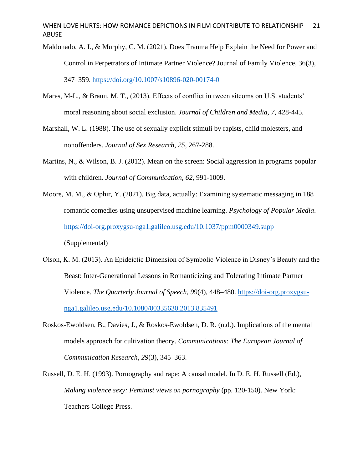- Maldonado, A. I., & Murphy, C. M. (2021). Does Trauma Help Explain the Need for Power and Control in Perpetrators of Intimate Partner Violence? Journal of Family Violence, 36(3), 347–359.<https://doi.org/10.1007/s10896-020-00174-0>
- Mares, M-L., & Braun, M. T., (2013). Effects of conflict in tween sitcoms on U.S. students' moral reasoning about social exclusion. *Journal of Children and Media, 7,* 428-445.
- Marshall, W. L. (1988). The use of sexually explicit stimuli by rapists, child molesters, and nonoffenders. *Journal of Sex Research, 25,* 267-288.
- Martins, N., & Wilson, B. J. (2012). Mean on the screen: Social aggression in programs popular with children. *Journal of Communication, 62,* 991-1009.
- Moore, M. M., & Ophir, Y. (2021). Big data, actually: Examining systematic messaging in 188 romantic comedies using unsupervised machine learning. *Psychology of Popular Media*. <https://doi-org.proxygsu-nga1.galileo.usg.edu/10.1037/ppm0000349.supp> (Supplemental)
- Olson, K. M. (2013). An Epideictic Dimension of Symbolic Violence in Disney's Beauty and the Beast: Inter-Generational Lessons in Romanticizing and Tolerating Intimate Partner Violence. *The Quarterly Journal of Speech*, *99*(4), 448–480. [https://doi-org.proxygsu](https://doi-org.proxygsu-nga1.galileo.usg.edu/10.1080/00335630.2013.835491)[nga1.galileo.usg.edu/10.1080/00335630.2013.835491](https://doi-org.proxygsu-nga1.galileo.usg.edu/10.1080/00335630.2013.835491)
- Roskos-Ewoldsen, B., Davies, J., & Roskos-Ewoldsen, D. R. (n.d.). Implications of the mental models approach for cultivation theory. *Communications: The European Journal of Communication Research*, *29*(3), 345–363.
- Russell, D. E. H. (1993). Pornography and rape: A causal model. In D. E. H. Russell (Ed.), *Making violence sexy: Feminist views on pornography* (pp. 120-150). New York: Teachers College Press.